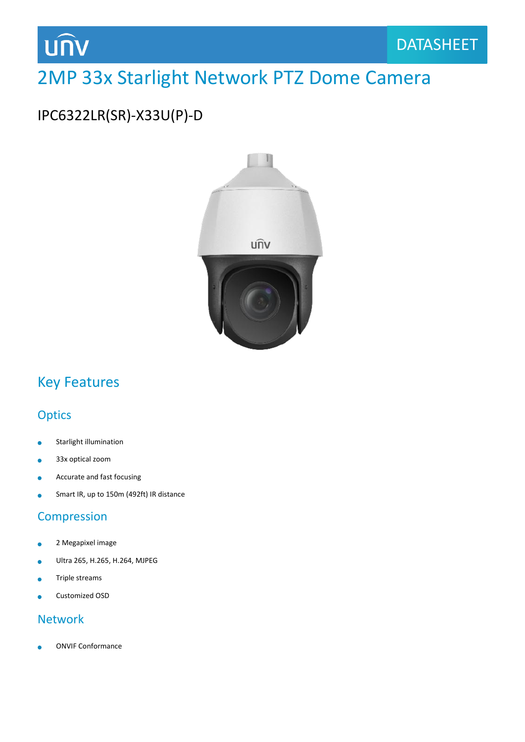

## 2MP 33x Starlight Network PTZ Dome Camera

### IPC6322LR(SR)-X33U(P)-D



### Key Features

### **Optics**

- Starlight illumination ò
- 33x optical zoom  $\bullet$
- Accurate and fast focusing
- Smart IR, up to 150m (492ft) IR distance  $\overline{a}$

#### Compression

- 2 Megapixel image  $\bullet$
- Ultra 265, H.265, H.264, MJPEG
- Triple streams ä
- Customized OSD

#### Network

ONVIF Conformance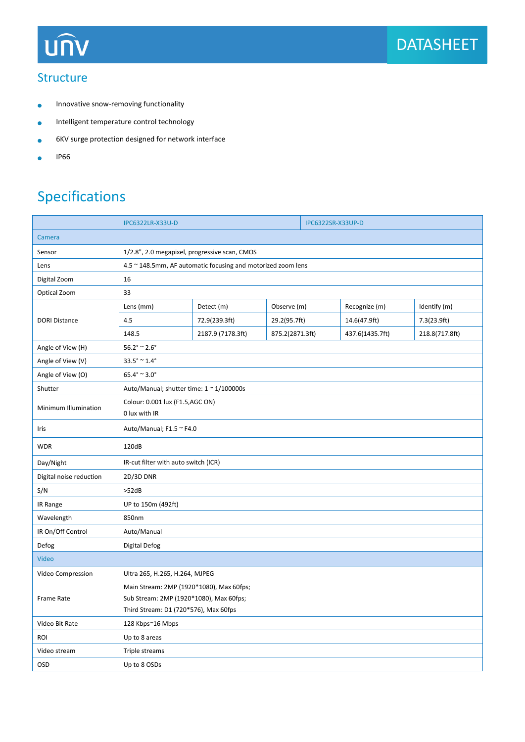

#### **Structure**

- Innovative snow-removing functionality  $\bullet$
- Intelligent temperature control technology  $\bullet$
- 6KV surge protection designed for network interface  $\bullet$
- IP66  $\bullet$

## Specifications

|                         | <b>IPC6322LR-X33U-D</b>                                                                                                      |                   | <b>IPC6322SR-X33UP-D</b> |  |                 |                |
|-------------------------|------------------------------------------------------------------------------------------------------------------------------|-------------------|--------------------------|--|-----------------|----------------|
| Camera                  |                                                                                                                              |                   |                          |  |                 |                |
| Sensor                  | 1/2.8", 2.0 megapixel, progressive scan, CMOS                                                                                |                   |                          |  |                 |                |
| Lens                    | 4.5 ~ 148.5mm, AF automatic focusing and motorized zoom lens                                                                 |                   |                          |  |                 |                |
| Digital Zoom            | 16                                                                                                                           |                   |                          |  |                 |                |
| Optical Zoom            | 33                                                                                                                           |                   |                          |  |                 |                |
| <b>DORI Distance</b>    | Lens (mm)                                                                                                                    | Detect (m)        | Observe (m)              |  | Recognize (m)   | Identify (m)   |
|                         | 4.5                                                                                                                          | 72.9(239.3ft)     | 29.2(95.7ft)             |  | 14.6(47.9ft)    | 7.3(23.9ft)    |
|                         | 148.5                                                                                                                        | 2187.9 (7178.3ft) | 875.2(2871.3ft)          |  | 437.6(1435.7ft) | 218.8(717.8ft) |
| Angle of View (H)       | $56.2^{\circ} \approx 2.6^{\circ}$                                                                                           |                   |                          |  |                 |                |
| Angle of View (V)       | $33.5^{\circ} \approx 1.4^{\circ}$                                                                                           |                   |                          |  |                 |                |
| Angle of View (O)       | $65.4^{\circ} \approx 3.0^{\circ}$                                                                                           |                   |                          |  |                 |                |
| Shutter                 | Auto/Manual; shutter time: $1 \approx 1/100000$ s                                                                            |                   |                          |  |                 |                |
| Minimum Illumination    | Colour: 0.001 lux (F1.5,AGC ON)<br>0 lux with IR                                                                             |                   |                          |  |                 |                |
| Iris                    | Auto/Manual; F1.5 ~ F4.0                                                                                                     |                   |                          |  |                 |                |
| <b>WDR</b>              | 120dB                                                                                                                        |                   |                          |  |                 |                |
| Day/Night               | IR-cut filter with auto switch (ICR)                                                                                         |                   |                          |  |                 |                |
| Digital noise reduction | 2D/3D DNR                                                                                                                    |                   |                          |  |                 |                |
| S/N                     | >52dB                                                                                                                        |                   |                          |  |                 |                |
| IR Range                | UP to 150m (492ft)                                                                                                           |                   |                          |  |                 |                |
| Wavelength              | 850nm                                                                                                                        |                   |                          |  |                 |                |
| IR On/Off Control       | Auto/Manual                                                                                                                  |                   |                          |  |                 |                |
| Defog                   | Digital Defog                                                                                                                |                   |                          |  |                 |                |
| Video                   |                                                                                                                              |                   |                          |  |                 |                |
| Video Compression       | Ultra 265, H.265, H.264, MJPEG                                                                                               |                   |                          |  |                 |                |
| Frame Rate              | Main Stream: 2MP (1920*1080), Max 60fps;<br>Sub Stream: 2MP (1920*1080), Max 60fps;<br>Third Stream: D1 (720*576), Max 60fps |                   |                          |  |                 |                |
| Video Bit Rate          | 128 Kbps~16 Mbps                                                                                                             |                   |                          |  |                 |                |
| ROI                     | Up to 8 areas                                                                                                                |                   |                          |  |                 |                |
| Video stream            | Triple streams                                                                                                               |                   |                          |  |                 |                |
| <b>OSD</b>              | Up to 8 OSDs                                                                                                                 |                   |                          |  |                 |                |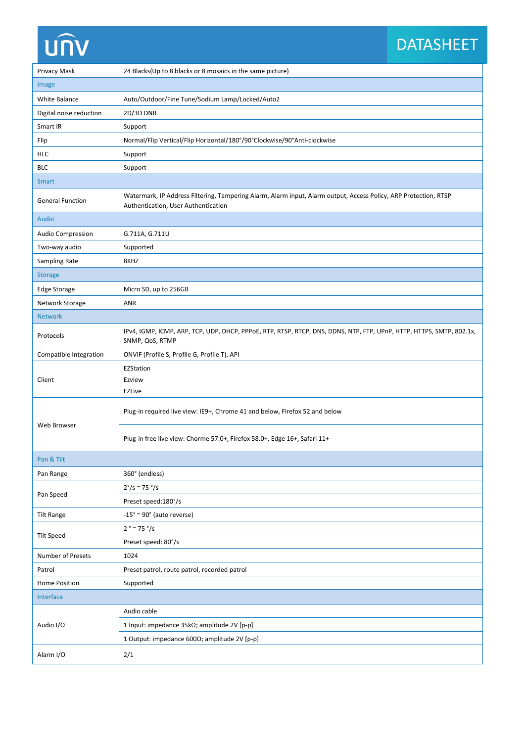# **UNV**

## **DATASHEET**

| Privacy Mask             | 24 Blacks(Up to 8 blacks or 8 mosaics in the same picture)                                                                                              |  |  |  |  |
|--------------------------|---------------------------------------------------------------------------------------------------------------------------------------------------------|--|--|--|--|
| Image                    |                                                                                                                                                         |  |  |  |  |
| White Balance            | Auto/Outdoor/Fine Tune/Sodium Lamp/Locked/Auto2                                                                                                         |  |  |  |  |
| Digital noise reduction  | 2D/3D DNR                                                                                                                                               |  |  |  |  |
| Smart IR                 | Support                                                                                                                                                 |  |  |  |  |
| Flip                     | Normal/Flip Vertical/Flip Horizontal/180°/90°Clockwise/90°Anti-clockwise                                                                                |  |  |  |  |
| <b>HLC</b>               | Support                                                                                                                                                 |  |  |  |  |
| <b>BLC</b>               | Support                                                                                                                                                 |  |  |  |  |
| <b>Smart</b>             |                                                                                                                                                         |  |  |  |  |
| <b>General Function</b>  | Watermark, IP Address Filtering, Tampering Alarm, Alarm input, Alarm output, Access Policy, ARP Protection, RTSP<br>Authentication, User Authentication |  |  |  |  |
| Audio                    |                                                                                                                                                         |  |  |  |  |
| <b>Audio Compression</b> | G.711A, G.711U                                                                                                                                          |  |  |  |  |
| Two-way audio            | Supported                                                                                                                                               |  |  |  |  |
| Sampling Rate            | 8KHZ                                                                                                                                                    |  |  |  |  |
| <b>Storage</b>           |                                                                                                                                                         |  |  |  |  |
| <b>Edge Storage</b>      | Micro SD, up to 256GB                                                                                                                                   |  |  |  |  |
| Network Storage          | <b>ANR</b>                                                                                                                                              |  |  |  |  |
| <b>Network</b>           |                                                                                                                                                         |  |  |  |  |
| Protocols                | IPv4, IGMP, ICMP, ARP, TCP, UDP, DHCP, PPPoE, RTP, RTSP, RTCP, DNS, DDNS, NTP, FTP, UPnP, HTTP, HTTPS, SMTP, 802.1x,<br>SNMP, QoS, RTMP                 |  |  |  |  |
| Compatible Integration   | ONVIF (Profile S, Profile G, Profile T), API                                                                                                            |  |  |  |  |
| Client                   | EZStation<br>Ezview<br><b>EZLive</b>                                                                                                                    |  |  |  |  |
| Web Browser              | Plug-in required live view: IE9+, Chrome 41 and below, Firefox 52 and below                                                                             |  |  |  |  |
|                          | Plug-in free live view: Chorme 57.0+, Firefox 58.0+, Edge 16+, Safari 11+                                                                               |  |  |  |  |
| Pan & Tilt               |                                                                                                                                                         |  |  |  |  |
| Pan Range                | 360° (endless)                                                                                                                                          |  |  |  |  |
| Pan Speed                | $2^{\circ}/s \sim 75^{\circ}/s$                                                                                                                         |  |  |  |  |
|                          | Preset speed: 180°/s                                                                                                                                    |  |  |  |  |
| <b>Tilt Range</b>        | $-15^{\circ} \approx 90^{\circ}$ (auto reverse)                                                                                                         |  |  |  |  |
|                          | $2° \sim 75°/s$                                                                                                                                         |  |  |  |  |
| <b>Tilt Speed</b>        | Preset speed: 80°/s                                                                                                                                     |  |  |  |  |
| Number of Presets        | 1024                                                                                                                                                    |  |  |  |  |
| Patrol                   | Preset patrol, route patrol, recorded patrol                                                                                                            |  |  |  |  |
| Home Position            | Supported                                                                                                                                               |  |  |  |  |
| Interface                |                                                                                                                                                         |  |  |  |  |
| Audio I/O                | Audio cable                                                                                                                                             |  |  |  |  |
|                          | 1 Input: impedance 35kΩ; amplitude 2V [p-p]                                                                                                             |  |  |  |  |
|                          | 1 Output: impedance 600 $\Omega$ ; amplitude 2V [p-p]                                                                                                   |  |  |  |  |
| Alarm I/O                | 2/1                                                                                                                                                     |  |  |  |  |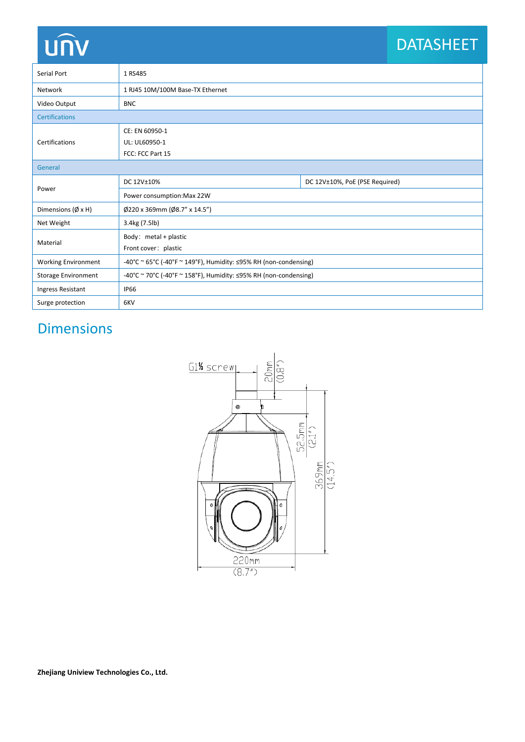# **UNV**

## DATASHEET

| Serial Port                   | 1 RS485                                                                |                                |  |  |  |
|-------------------------------|------------------------------------------------------------------------|--------------------------------|--|--|--|
| Network                       | 1 RJ45 10M/100M Base-TX Ethernet                                       |                                |  |  |  |
| Video Output                  | <b>BNC</b>                                                             |                                |  |  |  |
| <b>Certifications</b>         |                                                                        |                                |  |  |  |
|                               | CE: EN 60950-1                                                         |                                |  |  |  |
| Certifications                | UL: UL60950-1                                                          |                                |  |  |  |
|                               | FCC: FCC Part 15                                                       |                                |  |  |  |
| General                       |                                                                        |                                |  |  |  |
| Power                         | DC 12V±10%                                                             | DC 12V±10%, PoE (PSE Required) |  |  |  |
|                               | Power consumption: Max 22W                                             |                                |  |  |  |
| Dimensions ( $\emptyset$ x H) | $\emptyset$ 220 x 369mm ( $\emptyset$ 8.7" x 14.5")                    |                                |  |  |  |
| Net Weight                    | 3.4kg (7.5lb)                                                          |                                |  |  |  |
| Material                      | Body: metal + plastic                                                  |                                |  |  |  |
|                               | Front cover: plastic                                                   |                                |  |  |  |
| <b>Working Environment</b>    | -40°C ~ 65°C (-40°F ~ 149°F), Humidity: $\leq$ 95% RH (non-condensing) |                                |  |  |  |
| <b>Storage Environment</b>    | -40°C ~ 70°C (-40°F ~ 158°F), Humidity: $\leq$ 95% RH (non-condensing) |                                |  |  |  |
| Ingress Resistant             | <b>IP66</b>                                                            |                                |  |  |  |
| Surge protection              | 6KV                                                                    |                                |  |  |  |

## Dimensions